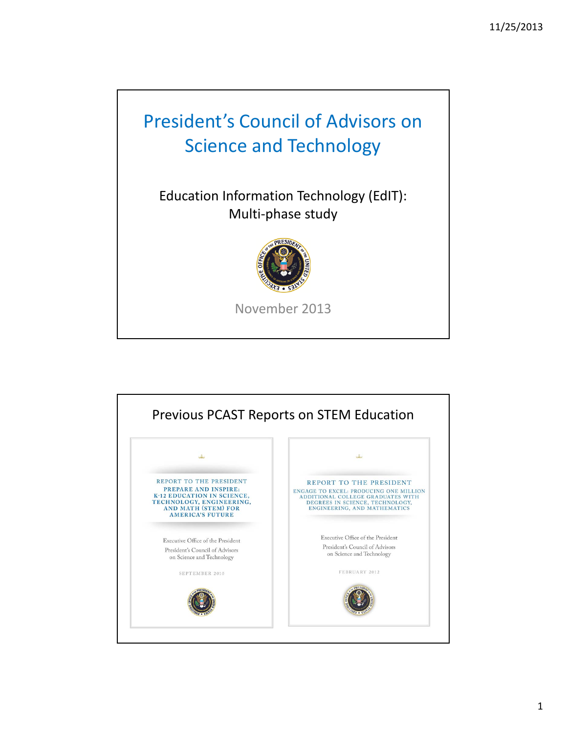# President's Council of Advisors on Science and Technology

Education Information Technology (EdIT): Multi‐phase study



November 2013

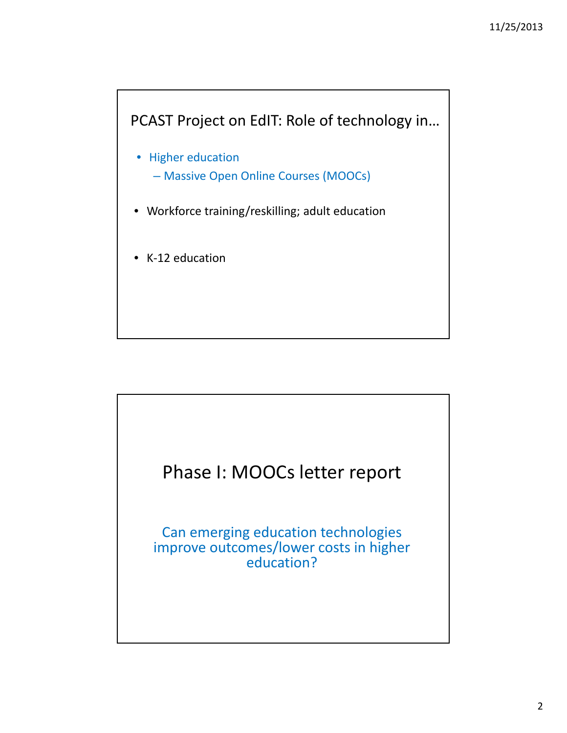

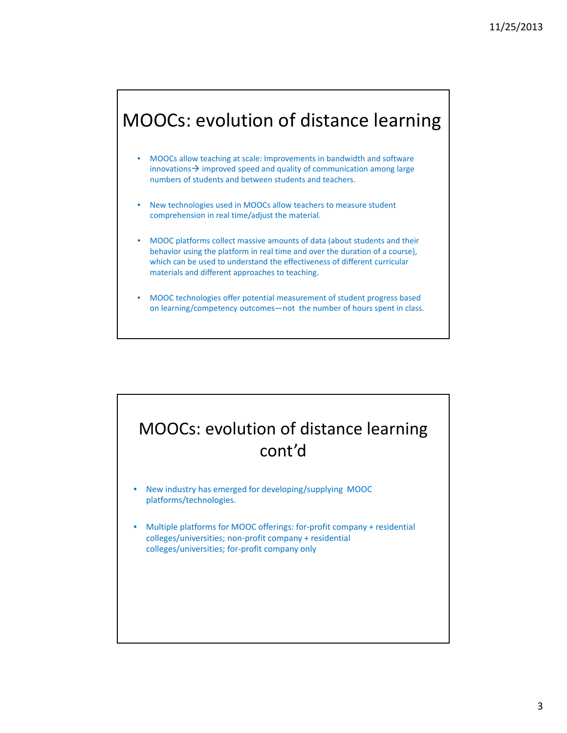## MOOCs: evolution of distance learning

- MOOCs allow teaching at scale: Improvements in bandwidth and software innovations  $\rightarrow$  improved speed and quality of communication among large numbers of students and between students and teachers.
- New technologies used in MOOCs allow teachers to measure student comprehension in real time/adjust the material.
- MOOC platforms collect massive amounts of data (about students and their behavior using the platform in real time and over the duration of a course), which can be used to understand the effectiveness of different curricular materials and different approaches to teaching.
- MOOC technologies offer potential measurement of student progress based on learning/competency outcomes—not the number of hours spent in class.

## MOOCs: evolution of distance learning cont'd

- New industry has emerged for developing/supplying MOOC platforms/technologies.
- Multiple platforms for MOOC offerings: for-profit company + residential colleges/universities; non‐profit company + residential colleges/universities; for‐profit company only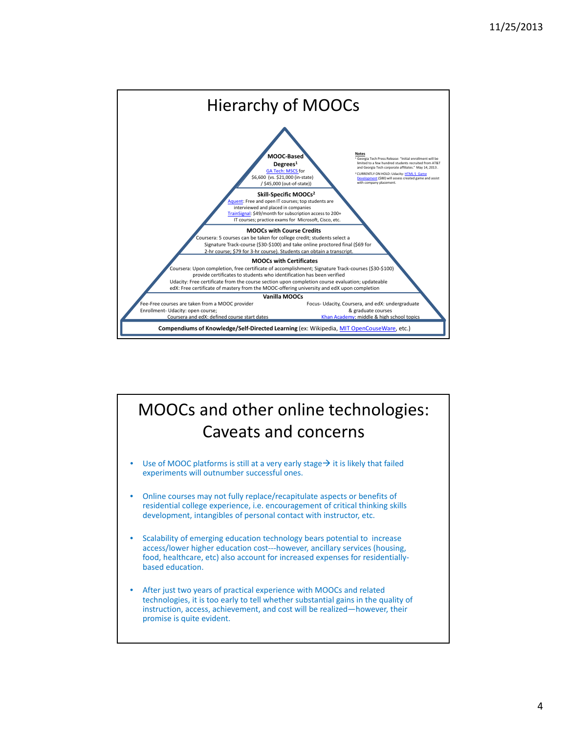

## MOOCs and other online technologies: Caveats and concerns

- Use of MOOC platforms is still at a very early stage  $\rightarrow$  it is likely that failed experiments will outnumber successful ones.
- Online courses may not fully replace/recapitulate aspects or benefits of residential college experience, i.e. encouragement of critical thinking skills development, intangibles of personal contact with instructor, etc.
- Scalability of emerging education technology bears potential to increase access/lower higher education cost‐‐‐however, ancillary services (housing, food, healthcare, etc) also account for increased expenses for residentiallybased education.
- After just two years of practical experience with MOOCs and related technologies, it is too early to tell whether substantial gains in the quality of instruction, access, achievement, and cost will be realized—however, their promise is quite evident.